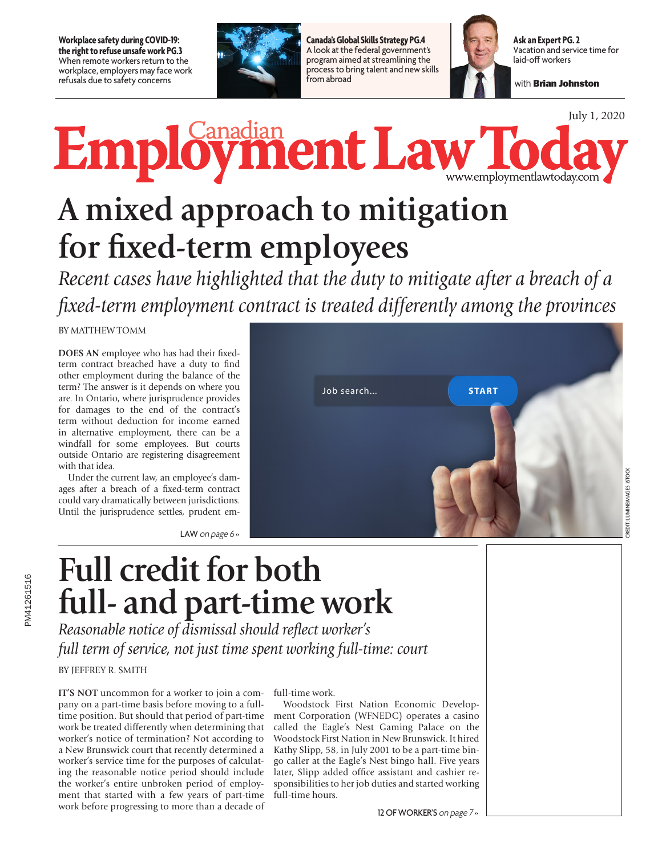**Workplace safety during COVID-19: the right to refuse unsafe work PG.3** When remote workers return to the workplace, employers may face work refusals due to safety concerns



**Canada's Global Skills Strategy PG.4** A look at the federal government's program aimed at streamlining the process to bring talent and new skills from abroad



**Ask an Expert PG. 2** Vacation and service time for laid-off workers

with Brian Johnston

July 1, 2020

Employment Law To ww.employmentlawtoday.com

# **A mixed approach to mitigation for fixed-term employees**

*Recent cases have highlighted that the duty to mitigate after a breach of a fixed-term employment contract is treated differently among the provinces*

BY MATTHEW TOMM

**DOES AN** employee who has had their fixedterm contract breached have a duty to find other employment during the balance of the term? The answer is it depends on where you are. In Ontario, where jurisprudence provides for damages to the end of the contract's term without deduction for income earned in alternative employment, there can be a windfall for some employees. But courts outside Ontario are registering disagreement with that idea.

Under the current law, an employee's damages after a breach of a fixed-term contract could vary dramatically between jurisdictions. Until the jurisprudence settles, prudent em-

LAW on page 6»



## **Full credit for both full- and part-time work**

*Reasonable notice of dismissal should reflect worker's full term of service, not just time spent working full-time: court*

BY JEFFREY R. SMITH

**IT'S NOT** uncommon for a worker to join a company on a part-time basis before moving to a fulltime position. But should that period of part-time work be treated differently when determining that worker's notice of termination? Not according to a New Brunswick court that recently determined a worker's service time for the purposes of calculating the reasonable notice period should include the worker's entire unbroken period of employment that started with a few years of part-time work before progressing to more than a decade of

#### full-time work.

Woodstock First Nation Economic Development Corporation (WFNEDC) operates a casino called the Eagle's Nest Gaming Palace on the Woodstock First Nation in New Brunswick. It hired Kathy Slipp, 58, in July 2001 to be a part-time bingo caller at the Eagle's Nest bingo hall. Five years later, Slipp added office assistant and cashier responsibilities to her job duties and started working full-time hours.